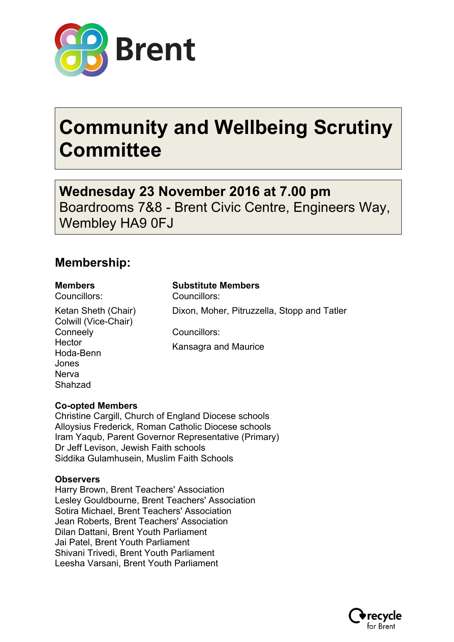

# **Community and Wellbeing Scrutiny Committee**

**Wednesday 23 November 2016 at 7.00 pm** Boardrooms 7&8 - Brent Civic Centre, Engineers Way, Wembley HA9 0FJ

### **Membership:**

Councillors: Councillors:

Ketan Sheth (Chair) Colwill (Vice-Chair) **Conneely Hector** Hoda-Benn Jones Nerva Shahzad

#### **Members Substitute Members**

Dixon, Moher, Pitruzzella, Stopp and Tatler

Councillors:

Kansagra and Maurice

#### **Co-opted Members**

Christine Cargill, Church of England Diocese schools Alloysius Frederick, Roman Catholic Diocese schools Iram Yaqub, Parent Governor Representative (Primary) Dr Jeff Levison, Jewish Faith schools Siddika Gulamhusein, Muslim Faith Schools

#### **Observers**

Harry Brown, Brent Teachers' Association Lesley Gouldbourne, Brent Teachers' Association Sotira Michael, Brent Teachers' Association Jean Roberts, Brent Teachers' Association Dilan Dattani, Brent Youth Parliament Jai Patel, Brent Youth Parliament Shivani Trivedi, Brent Youth Parliament Leesha Varsani, Brent Youth Parliament

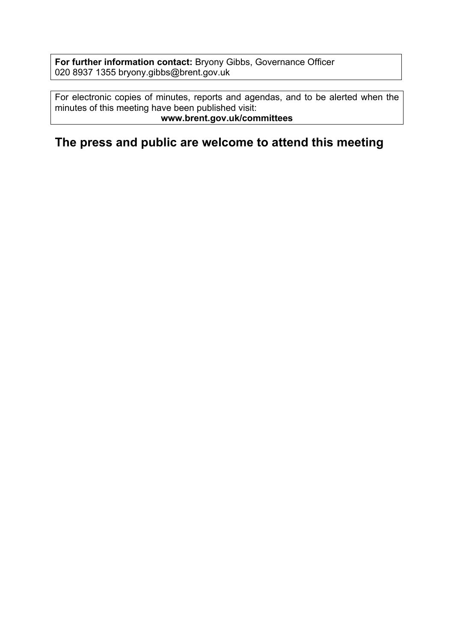**For further information contact:** Bryony Gibbs, Governance Officer 020 8937 1355 bryony.gibbs@brent.gov.uk

For electronic copies of minutes, reports and agendas, and to be alerted when the minutes of this meeting have been published visit: **www.brent.gov.uk/committees**

**The press and public are welcome to attend this meeting**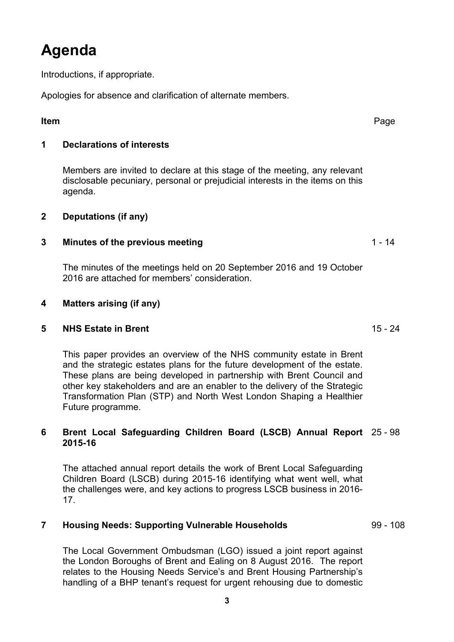## **Agenda**

Introductions, if appropriate.

Apologies for absence and clarification of alternate members.

#### **Item** Page

#### **1 Declarations of interests**

Members are invited to declare at this stage of the meeting, any relevant disclosable pecuniary, personal or prejudicial interests in the items on this agenda.

#### **2 Deputations (if any)**

#### **3 Minutes of the previous meeting** 1 - 14

The minutes of the meetings held on 20 September 2016 and 19 October 2016 are attached for members' consideration.

#### **4 Matters arising (if any)**

#### **5 NHS Estate in Brent** 15 - 24

This paper provides an overview of the NHS community estate in Brent and the strategic estates plans for the future development of the estate. These plans are being developed in partnership with Brent Council and other key stakeholders and are an enabler to the delivery of the Strategic Transformation Plan (STP) and North West London Shaping a Healthier Future programme.

#### **6 Brent Local Safeguarding Children Board (LSCB) Annual Report** 25 - 98 **2015-16**

The attached annual report details the work of Brent Local Safeguarding Children Board (LSCB) during 2015-16 identifying what went well, what the challenges were, and key actions to progress LSCB business in 2016- 17.

#### **7 Housing Needs: Supporting Vulnerable Households** 99 - 108

The Local Government Ombudsman (LGO) issued a joint report against the London Boroughs of Brent and Ealing on 8 August 2016. The report relates to the Housing Needs Service's and Brent Housing Partnership's handling of a BHP tenant's request for urgent rehousing due to domestic